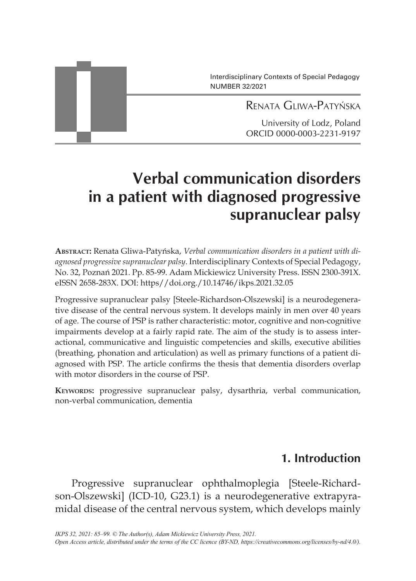Interdisciplinary Contexts of Special Pedagogy NUMBER 32/2021

Renata Gliwa-Patyńska

University of Lodz, Poland ORCID 0000-0003-2231-9197

# **Verbal communication disorders in a patient with diagnosed progressive supranuclear palsy**

**Abstract:** Renata Gliwa-Patyńska, *Verbal communication disorders in a patient with diagnosed progressive supranuclear palsy*. Interdisciplinary Contexts of Special Pedagogy, No. 32, Poznań 2021. Pp. 85-99. Adam Mickiewicz University Press. ISSN 2300-391X. eISSN 2658-283X. DOI: https//doi.org./10.14746/ikps.2021.32.05

Progressive supranuclear palsy [Steele-Richardson-Olszewski] is a neurodegenerative disease of the central nervous system. It develops mainly in men over 40 years of age. The course of PSP is rather characteristic: motor, cognitive and non-cognitive impairments develop at a fairly rapid rate. The aim of the study is to assess interactional, communicative and linguistic competencies and skills, executive abilities (breathing, phonation and articulation) as well as primary functions of a patient diagnosed with PSP. The article confirms the thesis that dementia disorders overlap with motor disorders in the course of PSP.

**Keywords:** progressive supranuclear palsy, dysarthria, verbal communication, non-verbal communication, dementia

## **1. Introduction**

Progressive supranuclear ophthalmoplegia [Steele-Richardson-Olszewski] (ICD*-*10, G23.1) is a neurodegenerative extrapyramidal disease of the central nervous system, which develops mainly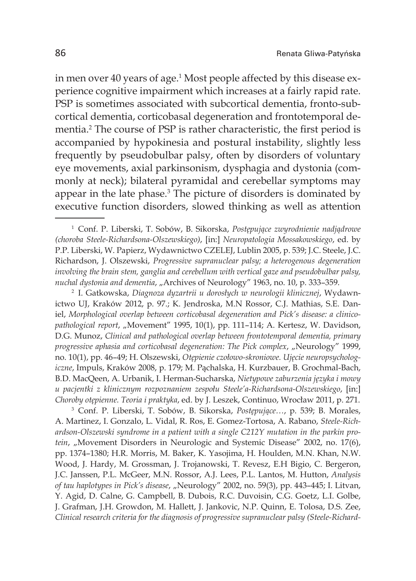in men over 40 years of age.<sup>1</sup> Most people affected by this disease experience cognitive impairment which increases at a fairly rapid rate. PSP is sometimes associated with subcortical dementia, fronto-subcortical dementia, corticobasal degeneration and frontotemporal dementia.<sup>2</sup> The course of PSP is rather characteristic, the first period is accompanied by hypokinesia and postural instability, slightly less frequently by pseudobulbar palsy, often by disorders of voluntary eye movements, axial parkinsonism, dysphagia and dystonia (commonly at neck); bilateral pyramidal and cerebellar symptoms may appear in the late phase. $3$  The picture of disorders is dominated by executive function disorders, slowed thinking as well as attention

<sup>1</sup> Conf. P. Liberski, T. Sobów, B. Sikorska, *Postępujące zwyrodnienie nadjądrowe (choroba Steele-Richardsona-Olszewskiego)*, [in:] *Neuropatologia Mossakowskiego*, ed. by P.P. Liberski, W. Papierz, Wydawnictwo CZELEJ, Lublin 2005, p. 539; J.C. Steele, J.C. Richardson, J. Olszewski, *Progressive supranuclear palsy; a heterogenous degeneration involving the brain stem, ganglia and cerebellum with vertical gaze and pseudobulbar palsy, nuchal dystonia and dementia*, "Archives of Neurology" 1963, no. 10, p. 333–359.

<sup>2</sup> I. Gatkowska, *Diagnoza dyzartrii u dorosłych w neurologii klinicznej*, Wydawnictwo UJ, Kraków 2012, p. 97.; K. Jendroska, M.N Rossor, C.J. Mathias, S.E. Daniel, *Morphological overlap between corticobasal degeneration and Pick's disease: a clinicopathological report*, "Movement" 1995, 10(1), pp. 111–114; A. Kertesz, W. Davidson, D.G. Munoz, *Clinical and pathological overlap between frontotemporal dementia, primary progressive aphasia and corticobasal degeneration: The Pick complex, "Neurology"* 1999, no. 10(1), pp. 46–49; H. Olszewski, *Otępienie czołowo-skroniowe. Ujęcie neuropsychologiczne*, Impuls, Kraków 2008, p. 179; M. Pąchalska, H. Kurzbauer, B. Grochmal-Bach, B.D. MacQeen, A. Urbanik, I. Herman-Sucharska, *Nietypowe zaburzenia języka i mowy u pacjentki z klinicznym rozpoznaniem zespołu Steele'a-Richardsona-Olszewskiego*, [in:] *Choroby otępienne. Teoria i praktyka*, ed. by J. Leszek, Continuo, Wrocław 2011, p. 271.

<sup>3</sup> Conf. P. Liberski, T. Sobów, B. Sikorska, *Postępujące…*, p. 539; B. Morales, A. Martinez, I. Gonzalo, L. Vidal, R. Ros, E. Gomez-Tortosa, A. Rabano, *Steele-Richardson-Olszewski syndrome in a patient with a single C212Y mutation in the parkin protein*, "Movement Disorders in Neurologic and Systemic Disease" 2002, no. 17(6), pp. 1374–1380; H.R. Morris, M. Baker, K. Yasojima, H. Houlden, M.N. Khan, N.W. Wood, J. Hardy, M. Grossman, J. Trojanowski, T. Revesz, E.H Bigio, C. Bergeron, J.C. Janssen, P.L. McGeer, M.N. Rossor, A.J. Lees, P.L. Lantos, M. Hutton, *Analysis of tau haplotypes in Pick's disease*, "Neurology" 2002, no. 59(3), pp. 443–445; I. Litvan, Y. Agid, D. Calne, G. Campbell, B. Dubois, R.C. Duvoisin, C.G. Goetz, L.I. Golbe, J. Grafman, J.H. Growdon, M. Hallett, J. Jankovic, N.P. Quinn, E. Tolosa, D.S. Zee, *Clinical research criteria for the diagnosis of progressive supranuclear palsy (Steele-Richard-*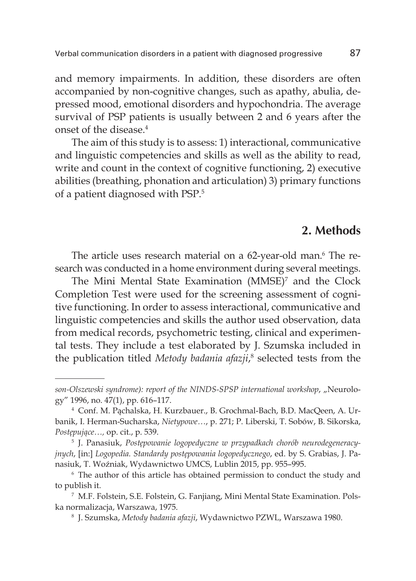and memory impairments. In addition, these disorders are often accompanied by non-cognitive changes, such as apathy, abulia, depressed mood, emotional disorders and hypochondria. The average survival of PSP patients is usually between 2 and 6 years after the onset of the disease.4

The aim of this study is to assess: 1) interactional, communicative and linguistic competencies and skills as well as the ability to read, write and count in the context of cognitive functioning, 2) executive abilities (breathing, phonation and articulation) 3) primary functions of a patient diagnosed with PSP.5

## **2. Methods**

The article uses research material on a 62-year-old man.<sup>6</sup> The research was conducted in a home environment during several meetings.

The Mini Mental State Examination  $(MMSE)^7$  and the Clock Completion Test were used for the screening assessment of cognitive functioning. In order to assess interactional, communicative and linguistic competencies and skills the author used observation, data from medical records, psychometric testing, clinical and experimental tests. They include a test elaborated by J. Szumska included in the publication titled *Metody badania afazji*,<sup>8</sup> selected tests from the

son-Olszewski syndrome): report of the NINDS-SPSP international workshop, "Neurology" 1996, no. 47(1), pp. 616–117.

<sup>4</sup> Conf. M. Pąchalska, H. Kurzbauer., B. Grochmal-Bach, B.D. MacQeen, A. Urbanik, I. Herman-Sucharska, *Nietypowe…*, p. 271; P. Liberski, T. Sobów, B. Sikorska, *Postępujące..., op. cit., p. 539.*<br><sup>5</sup> J. Panasiuk, *Postępowanie logopedyczne w przypadkach chorób neurodegeneracy-*

*jnych*, [in:] *Logopedia. Standardy postępowania logopedycznego*, ed. by S. Grabias, J. Panasiuk, T. Woźniak, Wydawnictwo UMCS, Lublin 2015, pp. 955–995.

<sup>6</sup> The author of this article has obtained permission to conduct the study and

to publish it.<br><sup>7</sup> M.F. Folstein, S.E. Folstein, G. Fanjiang, Mini Mental State Examination. Polska normalizacja, Warszawa, 1975.

<sup>8</sup> J. Szumska, *Metody badania afazji*, Wydawnictwo PZWL, Warszawa 1980.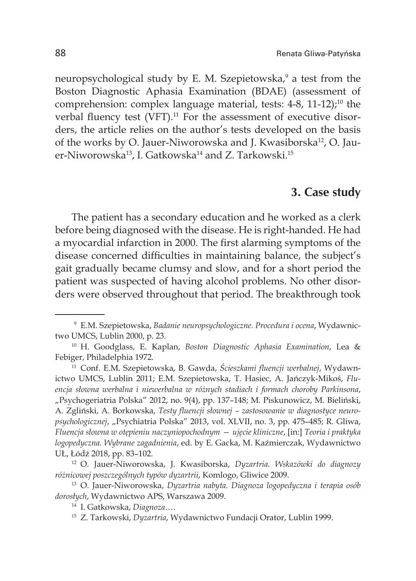neuropsychological study by E. M. Szepietowska,<sup>9</sup> a test from the Boston Diagnostic Aphasia Examination (BDAE) (assessment of comprehension: complex language material, tests: 4-8, 11-12);<sup>10</sup> the verbal fluency test (VFT).<sup>11</sup> For the assessment of executive disorders, the article relies on the author's tests developed on the basis of the works by O. Jauer-Niworowska and J. Kwasiborska<sup>12</sup>, O. Jauer-Niworowska<sup>13</sup>, I. Gatkowska<sup>14</sup> and Z. Tarkowski.<sup>15</sup>

#### **3. Case study**

The patient has a secondary education and he worked as a clerk before being diagnosed with the disease. He is right-handed. He had a myocardial infarction in 2000. The first alarming symptoms of the disease concerned difficulties in maintaining balance, the subject's gait gradually became clumsy and slow, and for a short period the patient was suspected of having alcohol problems. No other disorders were observed throughout that period. The breakthrough took

ictwo UMCS, Lublin 2011; E.M. Szepietowska, T. Hasiec, A. Jańczyk-Mikoś, *Fluencja słowna werbalna i niewerbalna w różnych stadiach i formach choroby Parkinsona*, "Psychogeriatria Polska" 2012, no. 9(4), pp. 137–148; M. Piskunowicz, M. Bieliński, A. Zgliński, A. Borkowska, *Testy fluencji słownej – zastosowanie w diagnostyce neuropsychologicznej*, "Psychiatria Polska" 2013, vol. XLVII, no. 3, pp. 475–485; R. Gliwa, *Fluencja słowna w otępieniu naczyniopochodnym — ujęcie kliniczne*, [in:] *Teoria i praktyka logopedyczna*. *Wybrane zagadnienia*, ed. by E. Gacka, M. Kaźmierczak, Wydawnictwo UŁ, Łódź 2018, pp. 83–102.

<sup>12</sup> O. Jauer-Niworowska, J. Kwasiborska, *Dyzartria. Wskazówki do diagnozy różnicowej poszczególnych typów dyzartrii*, Komlogo, Gliwice 2009.

<sup>13</sup> O. Jauer-Niworowska, *Dyzartria nabyta. Diagnoza logopedyczna i terapia osób dorosłych*, Wydawnictwo APS, Warszawa 2009. 14 I. Gatkowska, *Diagnoza…*.

<sup>9</sup> E.M. Szepietowska, *Badanie neuropsychologiczne. Procedura i ocena*, Wydawnictwo UMCS, Lublin 2000, p. 23.

<sup>10</sup> H. Goodglass, E. Kaplan, *Boston Diagnostic Aphasia Examination*, Lea & Febiger, Philadelphia 1972. 11 Conf. E.M. Szepietowska, B. Gawda, *Ścieszkami fluencji werbalnej*, Wydawn-

<sup>15</sup> Z. Tarkowski, *Dyzartria*, Wydawnictwo Fundacji Orator, Lublin 1999.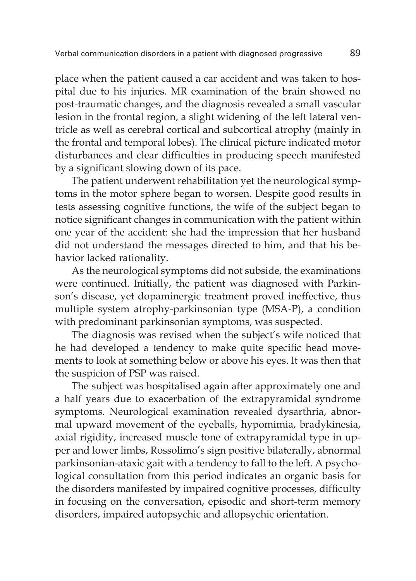place when the patient caused a car accident and was taken to hospital due to his injuries. MR examination of the brain showed no post-traumatic changes, and the diagnosis revealed a small vascular lesion in the frontal region, a slight widening of the left lateral ventricle as well as cerebral cortical and subcortical atrophy (mainly in the frontal and temporal lobes). The clinical picture indicated motor disturbances and clear difficulties in producing speech manifested by a significant slowing down of its pace.

The patient underwent rehabilitation yet the neurological symptoms in the motor sphere began to worsen. Despite good results in tests assessing cognitive functions, the wife of the subject began to notice significant changes in communication with the patient within one year of the accident: she had the impression that her husband did not understand the messages directed to him, and that his behavior lacked rationality.

As the neurological symptoms did not subside, the examinations were continued. Initially, the patient was diagnosed with Parkinson's disease, yet dopaminergic treatment proved ineffective, thus multiple system atrophy-parkinsonian type (MSA-P), a condition with predominant parkinsonian symptoms, was suspected.

The diagnosis was revised when the subject's wife noticed that he had developed a tendency to make quite specific head movements to look at something below or above his eyes. It was then that the suspicion of PSP was raised.

The subject was hospitalised again after approximately one and a half years due to exacerbation of the extrapyramidal syndrome symptoms. Neurological examination revealed dysarthria, abnormal upward movement of the eyeballs, hypomimia, bradykinesia, axial rigidity, increased muscle tone of extrapyramidal type in upper and lower limbs, Rossolimo's sign positive bilaterally, abnormal parkinsonian-ataxic gait with a tendency to fall to the left. A psychological consultation from this period indicates an organic basis for the disorders manifested by impaired cognitive processes, difficulty in focusing on the conversation, episodic and short-term memory disorders, impaired autopsychic and allopsychic orientation.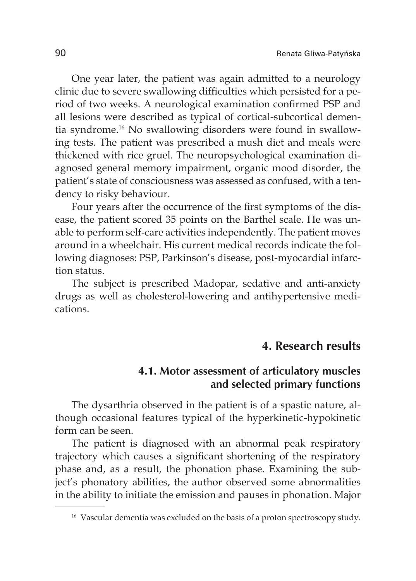One year later, the patient was again admitted to a neurology clinic due to severe swallowing difficulties which persisted for a period of two weeks. A neurological examination confirmed PSP and all lesions were described as typical of cortical-subcortical dementia syndrome.16 No swallowing disorders were found in swallowing tests. The patient was prescribed a mush diet and meals were thickened with rice gruel. The neuropsychological examination diagnosed general memory impairment, organic mood disorder, the patient's state of consciousness was assessed as confused, with a tendency to risky behaviour.

Four years after the occurrence of the first symptoms of the disease, the patient scored 35 points on the Barthel scale. He was unable to perform self-care activities independently. The patient moves around in a wheelchair. His current medical records indicate the following diagnoses: PSP, Parkinson's disease, post-myocardial infarction status.

The subject is prescribed Madopar, sedative and anti-anxiety drugs as well as cholesterol-lowering and antihypertensive medications.

## **4. Research results**

#### **4.1. Motor assessment of articulatory muscles and selected primary functions**

The dysarthria observed in the patient is of a spastic nature, although occasional features typical of the hyperkinetic-hypokinetic form can be seen.

The patient is diagnosed with an abnormal peak respiratory trajectory which causes a significant shortening of the respiratory phase and, as a result, the phonation phase. Examining the subject's phonatory abilities, the author observed some abnormalities in the ability to initiate the emission and pauses in phonation. Major

<sup>&</sup>lt;sup>16</sup> Vascular dementia was excluded on the basis of a proton spectroscopy study.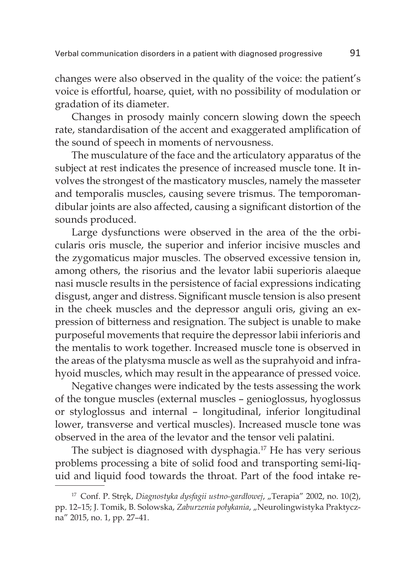changes were also observed in the quality of the voice: the patient's voice is effortful, hoarse, quiet, with no possibility of modulation or gradation of its diameter.

Changes in prosody mainly concern slowing down the speech rate, standardisation of the accent and exaggerated amplification of the sound of speech in moments of nervousness.

The musculature of the face and the articulatory apparatus of the subject at rest indicates the presence of increased muscle tone. It involves the strongest of the masticatory muscles, namely the masseter and temporalis muscles, causing severe trismus. The temporomandibular joints are also affected, causing a significant distortion of the sounds produced.

Large dysfunctions were observed in the area of the the orbicularis oris muscle, the superior and inferior incisive muscles and the zygomaticus major muscles. The observed excessive tension in, among others, the risorius and the levator labii superioris alaeque nasi muscle results in the persistence of facial expressions indicating disgust, anger and distress. Significant muscle tension is also present in the cheek muscles and the depressor anguli oris, giving an expression of bitterness and resignation. The subject is unable to make purposeful movements that require the depressor labii inferioris and the mentalis to work together. Increased muscle tone is observed in the areas of the platysma muscle as well as the suprahyoid and infrahyoid muscles, which may result in the appearance of pressed voice.

Negative changes were indicated by the tests assessing the work of the tongue muscles (external muscles – genioglossus, hyoglossus or styloglossus and internal – longitudinal, inferior longitudinal lower, transverse and vertical muscles). Increased muscle tone was observed in the area of the levator and the tensor veli palatini.

The subject is diagnosed with dysphagia.17 He has very serious problems processing a bite of solid food and transporting semi-liquid and liquid food towards the throat. Part of the food intake re-

<sup>&</sup>lt;sup>17</sup> Conf. P. Stręk, Diagnostyka dysfagii ustno-gardłowej, "Terapia" 2002, no. 10(2), pp. 12–15; J. Tomik, B. Solowska, *Zaburzenia połykania*, "Neurolingwistyka Praktyczna" 2015, no. 1, pp. 27–41.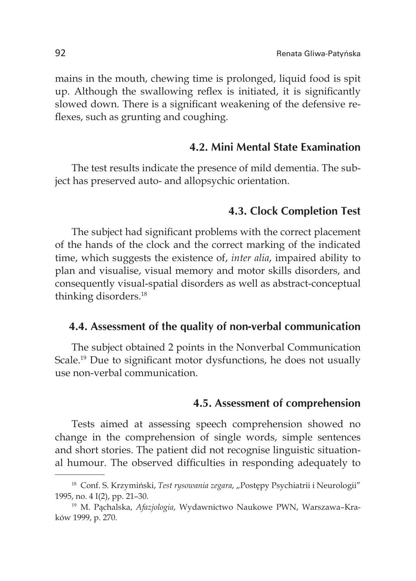mains in the mouth, chewing time is prolonged, liquid food is spit up. Although the swallowing reflex is initiated, it is significantly slowed down. There is a significant weakening of the defensive reflexes, such as grunting and coughing.

#### **4.2. Mini Mental State Examination**

The test results indicate the presence of mild dementia. The subject has preserved auto- and allopsychic orientation.

#### **4.3. Clock Completion Test**

The subject had significant problems with the correct placement of the hands of the clock and the correct marking of the indicated time, which suggests the existence of, *inter alia*, impaired ability to plan and visualise, visual memory and motor skills disorders, and consequently visual-spatial disorders as well as abstract-conceptual thinking disorders.18

#### **4.4. Assessment of the quality of non-verbal communication**

The subject obtained 2 points in the Nonverbal Communication Scale.<sup>19</sup> Due to significant motor dysfunctions, he does not usually use non-verbal communication.

#### **4.5. Assessment of comprehension**

Tests aimed at assessing speech comprehension showed no change in the comprehension of single words, simple sentences and short stories. The patient did not recognise linguistic situational humour. The observed difficulties in responding adequately to

<sup>&</sup>lt;sup>18</sup> Conf. S. Krzymiński, Test rysowania zegara, "Postępy Psychiatrii i Neurologii" 1995, no. 4 I(2), pp. 21–30.

<sup>19</sup> M. Pąchalska, *Afazjologia*, Wydawnictwo Naukowe PWN, Warszawa–Kraków 1999, p. 270.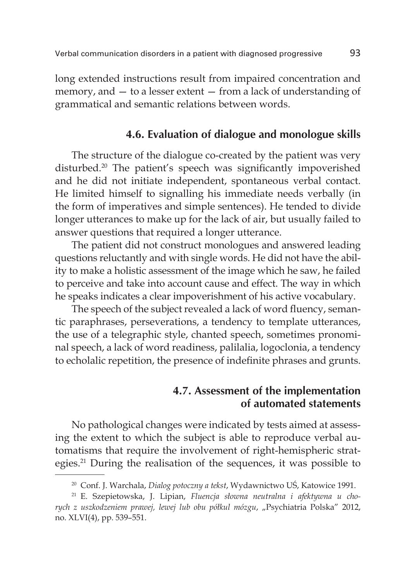long extended instructions result from impaired concentration and memory, and — to a lesser extent — from a lack of understanding of grammatical and semantic relations between words.

#### **4.6. Evaluation of dialogue and monologue skills**

The structure of the dialogue co-created by the patient was very disturbed.20 The patient's speech was significantly impoverished and he did not initiate independent, spontaneous verbal contact. He limited himself to signalling his immediate needs verbally (in the form of imperatives and simple sentences). He tended to divide longer utterances to make up for the lack of air, but usually failed to answer questions that required a longer utterance.

The patient did not construct monologues and answered leading questions reluctantly and with single words. He did not have the ability to make a holistic assessment of the image which he saw, he failed to perceive and take into account cause and effect. The way in which he speaks indicates a clear impoverishment of his active vocabulary.

The speech of the subject revealed a lack of word fluency, semantic paraphrases, perseverations, a tendency to template utterances, the use of a telegraphic style, chanted speech, sometimes pronominal speech, a lack of word readiness, palilalia, logoclonia, a tendency to echolalic repetition, the presence of indefinite phrases and grunts.

### **4.7. Assessment of the implementation of automated statements**

No pathological changes were indicated by tests aimed at assessing the extent to which the subject is able to reproduce verbal automatisms that require the involvement of right-hemispheric strategies.21 During the realisation of the sequences, it was possible to

<sup>20</sup> Conf. J. Warchala, *Dialog potoczny a tekst*, Wydawnictwo UŚ, Katowice 1991.

<sup>21</sup> E. Szepietowska, J. Lipian, *Fluencja słowna neutralna i afektywna u chorych z uszkodzeniem prawej, lewej lub obu półkul mózgu*, "Psychiatria Polska" 2012, no. XLVI(4), pp. 539–551.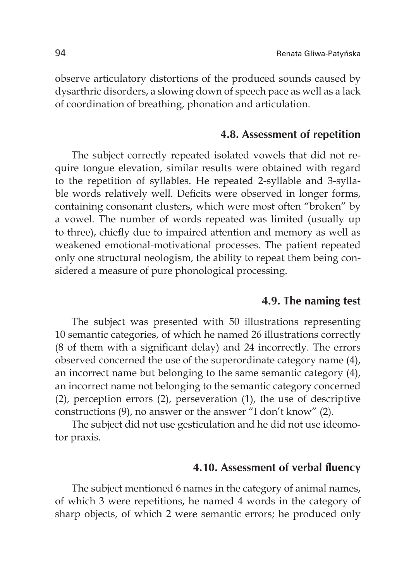observe articulatory distortions of the produced sounds caused by dysarthric disorders, a slowing down of speech pace as well as a lack of coordination of breathing, phonation and articulation.

#### **4.8. Assessment of repetition**

The subject correctly repeated isolated vowels that did not require tongue elevation, similar results were obtained with regard to the repetition of syllables. He repeated 2-syllable and 3-syllable words relatively well. Deficits were observed in longer forms, containing consonant clusters, which were most often "broken" by a vowel. The number of words repeated was limited (usually up to three), chiefly due to impaired attention and memory as well as weakened emotional-motivational processes. The patient repeated only one structural neologism, the ability to repeat them being considered a measure of pure phonological processing.

#### **4.9. The naming test**

The subject was presented with 50 illustrations representing 10 semantic categories, of which he named 26 illustrations correctly (8 of them with a significant delay) and 24 incorrectly. The errors observed concerned the use of the superordinate category name (4), an incorrect name but belonging to the same semantic category (4), an incorrect name not belonging to the semantic category concerned (2), perception errors (2), perseveration (1), the use of descriptive constructions (9), no answer or the answer "I don't know" (2).

The subject did not use gesticulation and he did not use ideomotor praxis.

#### **4.10. Assessment of verbal fluency**

The subject mentioned 6 names in the category of animal names, of which 3 were repetitions, he named 4 words in the category of sharp objects, of which 2 were semantic errors; he produced only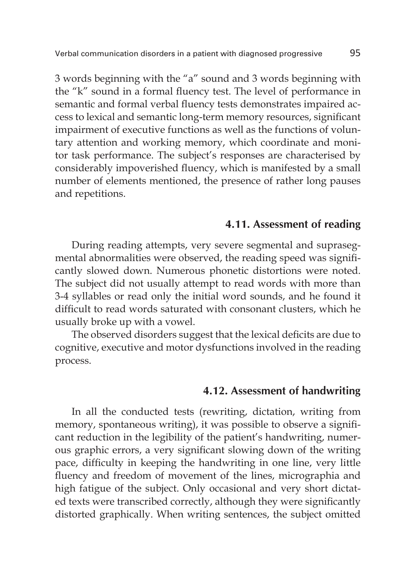3 words beginning with the "a" sound and 3 words beginning with the "k" sound in a formal fluency test. The level of performance in semantic and formal verbal fluency tests demonstrates impaired access to lexical and semantic long-term memory resources, significant impairment of executive functions as well as the functions of voluntary attention and working memory, which coordinate and monitor task performance. The subject's responses are characterised by considerably impoverished fluency, which is manifested by a small number of elements mentioned, the presence of rather long pauses and repetitions.

#### **4.11. Assessment of reading**

During reading attempts, very severe segmental and suprasegmental abnormalities were observed, the reading speed was significantly slowed down. Numerous phonetic distortions were noted. The subject did not usually attempt to read words with more than 3-4 syllables or read only the initial word sounds, and he found it difficult to read words saturated with consonant clusters, which he usually broke up with a vowel.

The observed disorders suggest that the lexical deficits are due to cognitive, executive and motor dysfunctions involved in the reading process.

#### **4.12. Assessment of handwriting**

In all the conducted tests (rewriting, dictation, writing from memory, spontaneous writing), it was possible to observe a significant reduction in the legibility of the patient's handwriting, numerous graphic errors, a very significant slowing down of the writing pace, difficulty in keeping the handwriting in one line, very little fluency and freedom of movement of the lines, micrographia and high fatigue of the subject. Only occasional and very short dictated texts were transcribed correctly, although they were significantly distorted graphically. When writing sentences, the subject omitted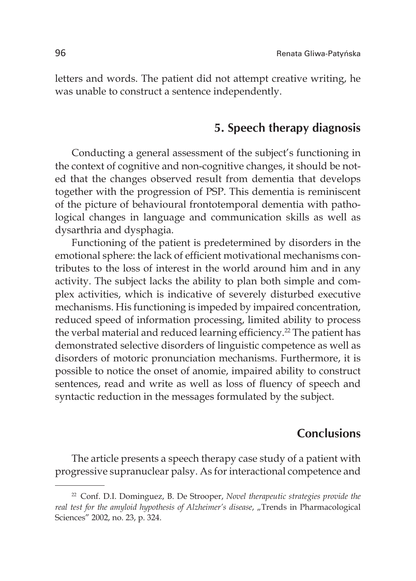letters and words. The patient did not attempt creative writing, he was unable to construct a sentence independently.

#### **5. Speech therapy diagnosis**

Conducting a general assessment of the subject's functioning in the context of cognitive and non-cognitive changes, it should be noted that the changes observed result from dementia that develops together with the progression of PSP. This dementia is reminiscent of the picture of behavioural frontotemporal dementia with pathological changes in language and communication skills as well as dysarthria and dysphagia.

Functioning of the patient is predetermined by disorders in the emotional sphere: the lack of efficient motivational mechanisms contributes to the loss of interest in the world around him and in any activity. The subject lacks the ability to plan both simple and complex activities, which is indicative of severely disturbed executive mechanisms. His functioning is impeded by impaired concentration, reduced speed of information processing, limited ability to process the verbal material and reduced learning efficiency.<sup>22</sup> The patient has demonstrated selective disorders of linguistic competence as well as disorders of motoric pronunciation mechanisms. Furthermore, it is possible to notice the onset of anomie, impaired ability to construct sentences, read and write as well as loss of fluency of speech and syntactic reduction in the messages formulated by the subject.

## **Conclusions**

The article presents a speech therapy case study of a patient with progressive supranuclear palsy. As for interactional competence and

<sup>22</sup> Conf. D.I. Dominguez, B. De Strooper, *Novel therapeutic strategies provide the real test for the amyloid hypothesis of Alzheimer's disease, "Trends in Pharmacological* Sciences" 2002, no. 23, p. 324.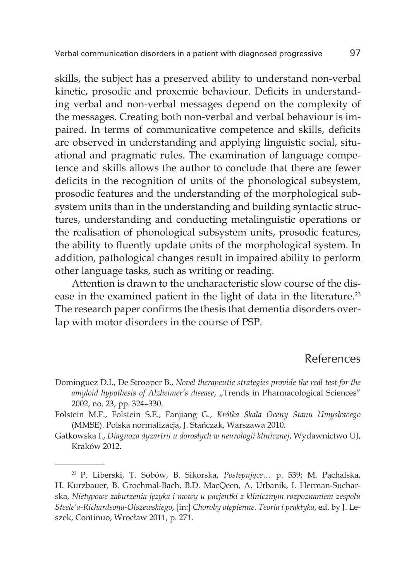skills, the subject has a preserved ability to understand non-verbal kinetic, prosodic and proxemic behaviour. Deficits in understanding verbal and non-verbal messages depend on the complexity of the messages. Creating both non-verbal and verbal behaviour is impaired. In terms of communicative competence and skills, deficits are observed in understanding and applying linguistic social, situational and pragmatic rules. The examination of language competence and skills allows the author to conclude that there are fewer deficits in the recognition of units of the phonological subsystem, prosodic features and the understanding of the morphological subsystem units than in the understanding and building syntactic structures, understanding and conducting metalinguistic operations or the realisation of phonological subsystem units, prosodic features, the ability to fluently update units of the morphological system. In addition, pathological changes result in impaired ability to perform other language tasks, such as writing or reading.

Attention is drawn to the uncharacteristic slow course of the disease in the examined patient in the light of data in the literature.<sup>23</sup> The research paper confirms the thesis that dementia disorders overlap with motor disorders in the course of PSP.

## References

- Dominguez D.I., De Strooper B., *Novel therapeutic strategies provide the real test for the*  amyloid hypothesis of Alzheimer's disease, "Trends in Pharmacological Sciences" 2002, no. 23, pp. 324–330.
- Folstein M.F., Folstein S.E., Fanjiang G., *Krótka Skala Oceny Stanu Umysłowego* (MMSE). Polska normalizacja, J. Stańczak, Warszawa 2010.
- Gatkowska I., *Diagnoza dyzartrii u dorosłych w neurologii klinicznej*, Wydawnictwo UJ, Kraków 2012.

<sup>23</sup> P. Liberski, T. Sobów, B. Sikorska, *Postępujące…* p. 539; M. Pąchalska, H. Kurzbauer, B. Grochmal-Bach, B.D. MacQeen, A. Urbanik, I. Herman-Sucharska, *Nietypowe zaburzenia języka i mowy u pacjentki z klinicznym rozpoznaniem zespołu Steele'a-Richardsona-Olszewskiego*, [in:] *Choroby otępienne. Teoria i praktyka*, ed. by J. Leszek, Continuo, Wrocław 2011, p. 271.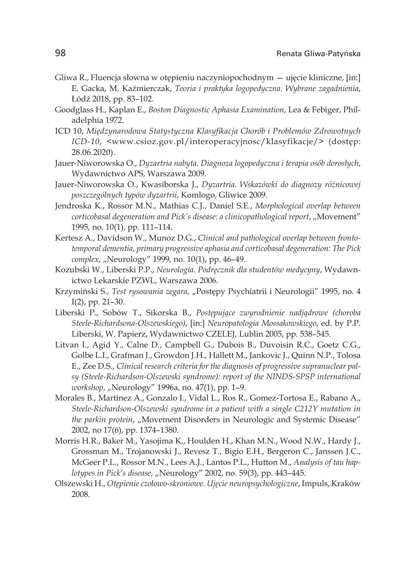- Gliwa R., Fluencja słowna w otępieniu naczyniopochodnym ujęcie kliniczne, [in:] E. Gacka, M. Kaźmierczak, *Teoria i praktyka logopedyczna. Wybrane zagadnienia*, Łódź 2018, pp. 83–102.
- Goodglass H., Kaplan E., *Boston Diagnostic Aphasia Examination*, Lea & Febiger, Philadelphia 1972.
- ICD 10, *Międzynarodowa Statystyczna Klasyfikacja Chorób i Problemów Zdrowotnych ICD-10*, <www.csioz.gov.pl/interoperacyjnosc/klasyfikacje/> (dostęp: 28.06.2020).
- Jauer-Niworowska O., *Dyzartria nabyta. Diagnoza logopedyczna i terapia osób dorosłych*, Wydawnictwo APS, Warszawa 2009.
- Jauer-Niworowska O., Kwasiborska J., *Dyzartria. Wskazówki do diagnozy różnicowej poszczególnych typów dyzartrii*, Komlogo, Gliwice 2009.
- Jendroska K., Rossor M.N., Mathias C.J., Daniel S.E., *Morphological overlap between corticobasal degeneration and Pick's disease: a clinicopathological report, "Movement"* 1995, no. 10(1), pp. 111–114.
- Kertesz A., Davidson W., Munoz D.G., *Clinical and pathological overlap between frontotemporal dementia, primary progressive aphasia and corticobasal degeneration: The Pick complex, "Neurology"* 1999, no. 10(1), pp. 46-49.
- Kozubski W., Liberski P.P., *Neurologia. Podręcznik dla studentów medycyny*, Wydawnictwo Lekarskie PZWL, Warszawa 2006.
- Krzymiński S., Test rysowania zegara, "Postępy Psychiatrii i Neurologii" 1995, no. 4 I(2), pp. 21–30.
- Liberski P., Sobów T., Sikorska B., *Postępujące zwyrodnienie nadjądrowe (choroba Steele-Richardsona-Olszewskiego)*, [in:] *Neuropatologia Mossakowskiego*, ed. by P.P. Liberski, W. Papierz, Wydawnictwo CZELEJ, Lublin 2005, pp. 538–545.
- Litvan I., Agid Y., Calne D., Campbell G., Dubois B., Duvoisin R.C., Goetz C.G., Golbe L.I., Grafman J., Growdon J.H., Hallett M., Jankovic J., Quinn N.P., Tolosa E., Zee D.S., *Clinical research criteria for the diagnosis of progressive supranuclear palsy (Steele-Richardson-Olszewski syndrome): report of the NINDS-SPSP international workshop*, "Neurology" 1996a, no. 47(1), pp. 1-9.
- Morales B., Martinez A., Gonzalo I., Vidal L., Ros R., Gomez-Tortosa E., Rabano A., *Steele-Richardson-Olszewski syndrome in a patient with a single C212Y mutation in the parkin protein, "*Movement Disorders in Neurologic and Systemic Disease" 2002, no 17(6), pp. 1374–1380.
- Morris H.R., Baker M., Yasojima K., Houlden H., Khan M.N., Wood N.W., Hardy J., Grossman M., Trojanowski J., Revesz T., Bigio E.H., Bergeron C., Janssen J.C., McGeer P.L., Rossor M.N., Lees A.J., Lantos P.L., Hutton M., *Analysis of tau haplotypes in Pick's disease*, "Neurology" 2002, no. 59(3), pp. 443–445.
- Olszewski H., *Otępienie czołowo-skroniowe. Ujęcie neuropsychologiczne*, Impuls, Kraków 2008.